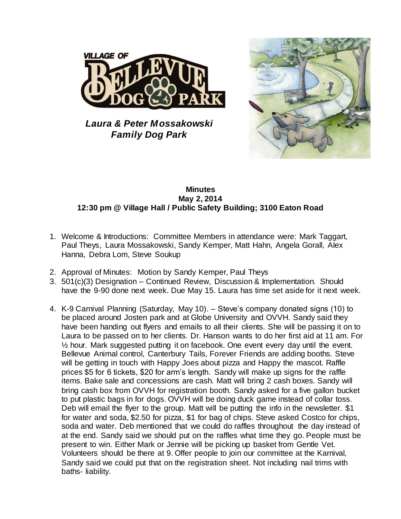

*Laura & Peter Mossakowski Family Dog Park*



## **Minutes May 2, 2014 12:30 pm @ Village Hall / Public Safety Building; 3100 Eaton Road**

- 1. Welcome & Introductions: Committee Members in attendance were: Mark Taggart, Paul Theys, Laura Mossakowski, Sandy Kemper, Matt Hahn, Angela Gorall, Alex Hanna, Debra Lom, Steve Soukup
- 2. Approval of Minutes: Motion by Sandy Kemper, Paul Theys
- 3. 501(c)(3) Designation Continued Review, Discussion & Implementation. Should have the 9-90 done next week. Due May 15. Laura has time set aside for it next week.
- 4. K-9 Carnival Planning (Saturday, May 10). Steve's company donated signs (10) to be placed around Josten park and at Globe University and OVVH. Sandy said they have been handing out flyers and emails to all their clients. She will be passing it on to Laura to be passed on to her clients. Dr. Hanson wants to do her first aid at 11 am. For ½ hour. Mark suggested putting it on facebook. One event every day until the event. Bellevue Animal control, Canterbury Tails, Forever Friends are adding booths. Steve will be getting in touch with Happy Joes about pizza and Happy the mascot. Raffle prices \$5 for 6 tickets, \$20 for arm's length. Sandy will make up signs for the raffle items. Bake sale and concessions are cash. Matt will bring 2 cash boxes. Sandy will bring cash box from OVVH for registration booth. Sandy asked for a five gallon bucket to put plastic bags in for dogs. OVVH will be doing duck game instead of collar toss. Deb will email the flyer to the group. Matt will be putting the info in the newsletter. \$1 for water and soda, \$2.50 for pizza, \$1 for bag of chips. Steve asked Costco for chips, soda and water. Deb mentioned that we could do raffles throughout the day instead of at the end. Sandy said we should put on the raffles what time they go. People must be present to win. Either Mark or Jennie will be picking up basket from Gentle Vet. Volunteers should be there at 9. Offer people to join our committee at the Karnival, Sandy said we could put that on the registration sheet. Not including nail trims with baths- liability.